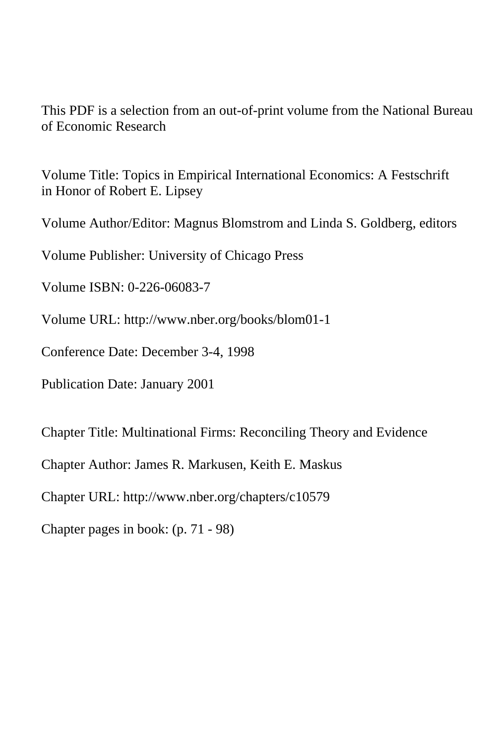This PDF is a selection from an out-of-print volume from the National Bureau of Economic Research

Volume Title: Topics in Empirical International Economics: A Festschrift in Honor of Robert E. Lipsey

Volume Author/Editor: Magnus Blomstrom and Linda S. Goldberg, editors

Volume Publisher: University of Chicago Press

Volume ISBN: 0-226-06083-7

Volume URL: http://www.nber.org/books/blom01-1

Conference Date: December 3-4, 1998

Publication Date: January 2001

Chapter Title: Multinational Firms: Reconciling Theory and Evidence

Chapter Author: James R. Markusen, Keith E. Maskus

Chapter URL: http://www.nber.org/chapters/c10579

Chapter pages in book: (p. 71 - 98)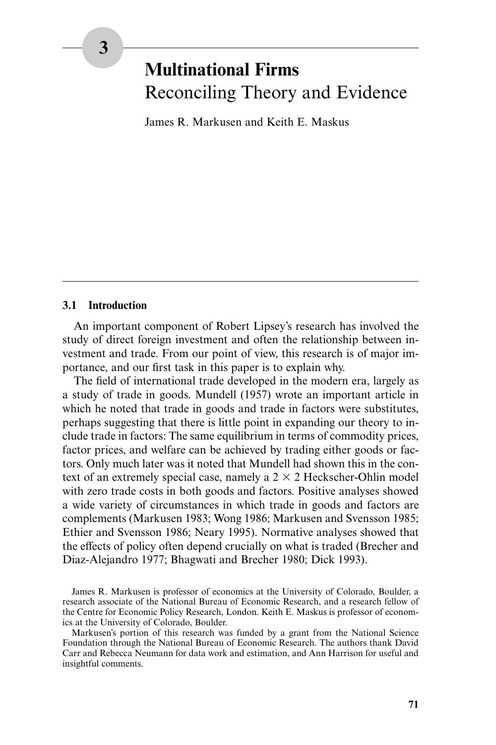# **Multinational Firms** Reconciling Theory and Evidence

James R. Markusen and Keith E. Maskus

# **3.1 Introduction**

An important component of Robert Lipsey's research has involved the study of direct foreign investment and often the relationship between investment and trade. From our point of view, this research is of major importance, and our first task in this paper is to explain why.

The field of international trade developed in the modern era, largely as a study of trade in goods. Mundell (1957) wrote an important article in which he noted that trade in goods and trade in factors were substitutes, perhaps suggesting that there is little point in expanding our theory to include trade in factors: The same equilibrium in terms of commodity prices, factor prices, and welfare can be achieved by trading either goods or factors. Only much later was it noted that Mundell had shown this in the context of an extremely special case, namely a  $2 \times 2$  Heckscher-Ohlin model with zero trade costs in both goods and factors. Positive analyses showed a wide variety of circumstances in which trade in goods and factors are complements (Markusen 1983; Wong 1986; Markusen and Svensson 1985; Ethier and Svensson 1986; Neary 1995). Normative analyses showed that the effects of policy often depend crucially on what is traded (Brecher and Diaz-Alejandro 1977; Bhagwati and Brecher 1980; Dick 1993).

James R. Markusen is professor of economics at the University of Colorado, Boulder, a research associate of the National Bureau of Economic Research, and a research fellow of the Centre for Economic Policy Research, London. Keith E. Maskus is professor of economics at the University of Colorado, Boulder.

Markusen's portion of this research was funded by a grant from the National Science Foundation through the National Bureau of Economic Research. The authors thank David Carr and Rebecca Neumann for data work and estimation, and Ann Harrison for useful and insightful comments.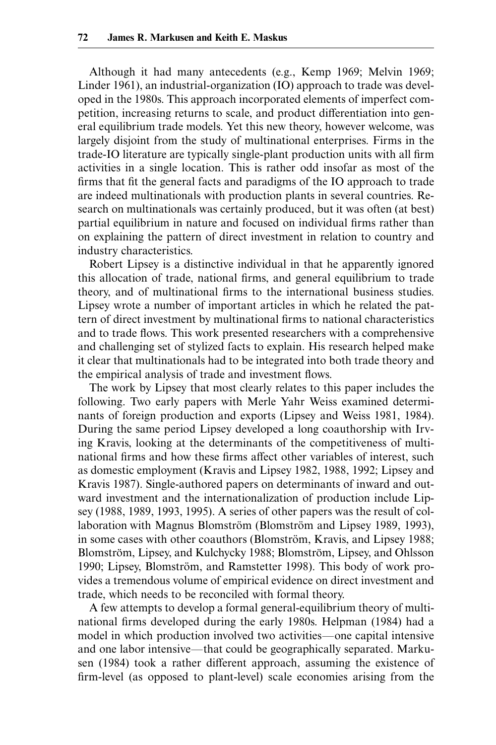Although it had many antecedents (e.g., Kemp 1969; Melvin 1969; Linder 1961), an industrial-organization (IO) approach to trade was developed in the 1980s. This approach incorporated elements of imperfect competition, increasing returns to scale, and product differentiation into general equilibrium trade models. Yet this new theory, however welcome, was largely disjoint from the study of multinational enterprises. Firms in the trade-IO literature are typically single-plant production units with all firm activities in a single location. This is rather odd insofar as most of the firms that fit the general facts and paradigms of the IO approach to trade are indeed multinationals with production plants in several countries. Research on multinationals was certainly produced, but it was often (at best) partial equilibrium in nature and focused on individual firms rather than on explaining the pattern of direct investment in relation to country and industry characteristics.

Robert Lipsey is a distinctive individual in that he apparently ignored this allocation of trade, national firms, and general equilibrium to trade theory, and of multinational firms to the international business studies. Lipsey wrote a number of important articles in which he related the pattern of direct investment by multinational firms to national characteristics and to trade flows. This work presented researchers with a comprehensive and challenging set of stylized facts to explain. His research helped make it clear that multinationals had to be integrated into both trade theory and the empirical analysis of trade and investment flows.

The work by Lipsey that most clearly relates to this paper includes the following. Two early papers with Merle Yahr Weiss examined determinants of foreign production and exports (Lipsey and Weiss 1981, 1984). During the same period Lipsey developed a long coauthorship with Irving Kravis, looking at the determinants of the competitiveness of multinational firms and how these firms affect other variables of interest, such as domestic employment (Kravis and Lipsey 1982, 1988, 1992; Lipsey and Kravis 1987). Single-authored papers on determinants of inward and outward investment and the internationalization of production include Lipsey (1988, 1989, 1993, 1995). A series of other papers was the result of collaboration with Magnus Blomström (Blomström and Lipsey 1989, 1993), in some cases with other coauthors (Blomström, Kravis, and Lipsey 1988; Blomström, Lipsey, and Kulchycky 1988; Blomström, Lipsey, and Ohlsson 1990; Lipsey, Blomström, and Ramstetter 1998). This body of work provides a tremendous volume of empirical evidence on direct investment and trade, which needs to be reconciled with formal theory.

A few attempts to develop a formal general-equilibrium theory of multinational firms developed during the early 1980s. Helpman (1984) had a model in which production involved two activities—one capital intensive and one labor intensive—that could be geographically separated. Markusen (1984) took a rather different approach, assuming the existence of firm-level (as opposed to plant-level) scale economies arising from the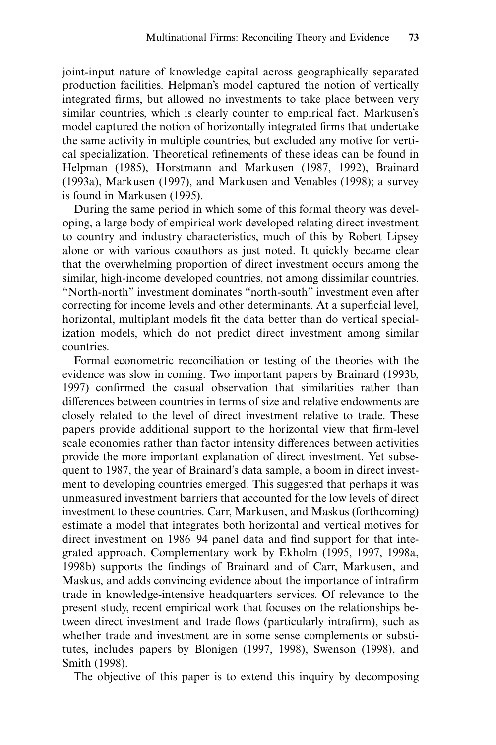joint-input nature of knowledge capital across geographically separated production facilities. Helpman's model captured the notion of vertically integrated firms, but allowed no investments to take place between very similar countries, which is clearly counter to empirical fact. Markusen's model captured the notion of horizontally integrated firms that undertake the same activity in multiple countries, but excluded any motive for vertical specialization. Theoretical refinements of these ideas can be found in Helpman (1985), Horstmann and Markusen (1987, 1992), Brainard (1993a), Markusen (1997), and Markusen and Venables (1998); a survey is found in Markusen (1995).

During the same period in which some of this formal theory was developing, a large body of empirical work developed relating direct investment to country and industry characteristics, much of this by Robert Lipsey alone or with various coauthors as just noted. It quickly became clear that the overwhelming proportion of direct investment occurs among the similar, high-income developed countries, not among dissimilar countries. "North-north" investment dominates "north-south" investment even after correcting for income levels and other determinants. At a superficial level, horizontal, multiplant models fit the data better than do vertical specialization models, which do not predict direct investment among similar countries.

Formal econometric reconciliation or testing of the theories with the evidence was slow in coming. Two important papers by Brainard (1993b, 1997) confirmed the casual observation that similarities rather than differences between countries in terms of size and relative endowments are closely related to the level of direct investment relative to trade. These papers provide additional support to the horizontal view that firm-level scale economies rather than factor intensity differences between activities provide the more important explanation of direct investment. Yet subsequent to 1987, the year of Brainard's data sample, a boom in direct investment to developing countries emerged. This suggested that perhaps it was unmeasured investment barriers that accounted for the low levels of direct investment to these countries. Carr, Markusen, and Maskus (forthcoming) estimate a model that integrates both horizontal and vertical motives for direct investment on 1986–94 panel data and find support for that integrated approach. Complementary work by Ekholm (1995, 1997, 1998a, 1998b) supports the findings of Brainard and of Carr, Markusen, and Maskus, and adds convincing evidence about the importance of intrafirm trade in knowledge-intensive headquarters services. Of relevance to the present study, recent empirical work that focuses on the relationships between direct investment and trade flows (particularly intrafirm), such as whether trade and investment are in some sense complements or substitutes, includes papers by Blonigen (1997, 1998), Swenson (1998), and Smith (1998).

The objective of this paper is to extend this inquiry by decomposing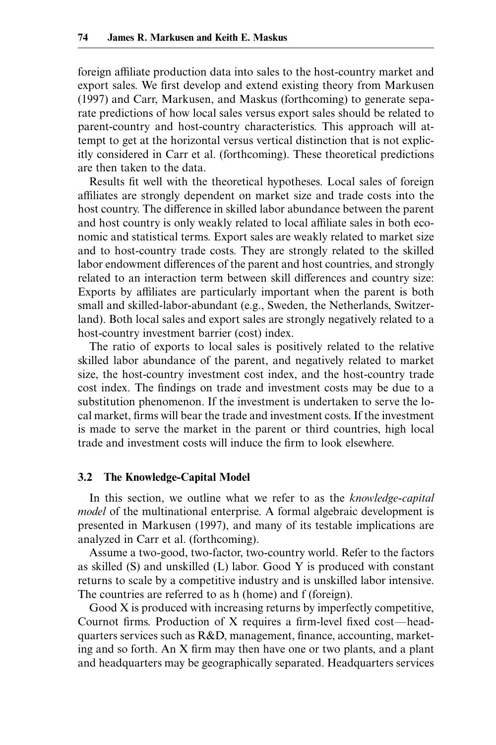foreign affiliate production data into sales to the host-country market and export sales. We first develop and extend existing theory from Markusen (1997) and Carr, Markusen, and Maskus (forthcoming) to generate separate predictions of how local sales versus export sales should be related to parent-country and host-country characteristics. This approach will attempt to get at the horizontal versus vertical distinction that is not explicitly considered in Carr et al. (forthcoming). These theoretical predictions are then taken to the data.

Results fit well with the theoretical hypotheses. Local sales of foreign affiliates are strongly dependent on market size and trade costs into the host country. The difference in skilled labor abundance between the parent and host country is only weakly related to local affiliate sales in both economic and statistical terms. Export sales are weakly related to market size and to host-country trade costs. They are strongly related to the skilled labor endowment differences of the parent and host countries, and strongly related to an interaction term between skill differences and country size: Exports by affiliates are particularly important when the parent is both small and skilled-labor-abundant (e.g., Sweden, the Netherlands, Switzerland). Both local sales and export sales are strongly negatively related to a host-country investment barrier (cost) index.

The ratio of exports to local sales is positively related to the relative skilled labor abundance of the parent, and negatively related to market size, the host-country investment cost index, and the host-country trade cost index. The findings on trade and investment costs may be due to a substitution phenomenon. If the investment is undertaken to serve the local market, firms will bear the trade and investment costs. If the investment is made to serve the market in the parent or third countries, high local trade and investment costs will induce the firm to look elsewhere.

# **3.2 The Knowledge-Capital Model**

In this section, we outline what we refer to as the *knowledge-capital model* of the multinational enterprise. A formal algebraic development is presented in Markusen (1997), and many of its testable implications are analyzed in Carr et al. (forthcoming).

Assume a two-good, two-factor, two-country world. Refer to the factors as skilled (S) and unskilled (L) labor. Good Y is produced with constant returns to scale by a competitive industry and is unskilled labor intensive. The countries are referred to as h (home) and f (foreign).

Good X is produced with increasing returns by imperfectly competitive, Cournot firms. Production of X requires a firm-level fixed cost—headquarters services such as R&D, management, finance, accounting, marketing and so forth. An X firm may then have one or two plants, and a plant and headquarters may be geographically separated. Headquarters services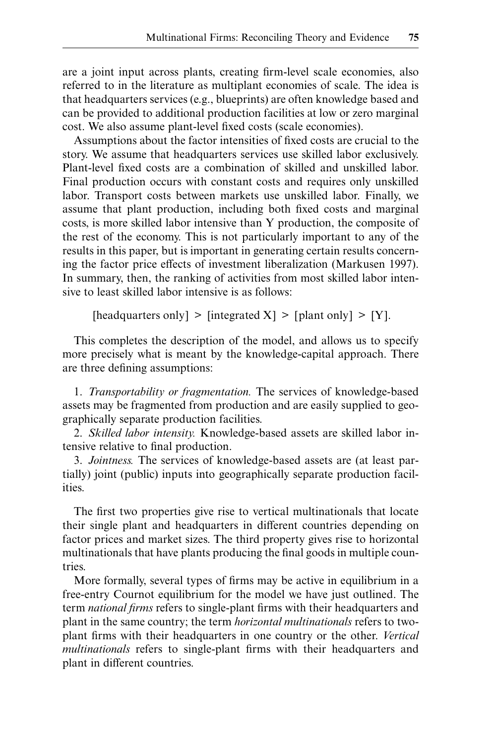are a joint input across plants, creating firm-level scale economies, also referred to in the literature as multiplant economies of scale. The idea is that headquarters services (e.g., blueprints) are often knowledge based and can be provided to additional production facilities at low or zero marginal cost. We also assume plant-level fixed costs (scale economies).

Assumptions about the factor intensities of fixed costs are crucial to the story. We assume that headquarters services use skilled labor exclusively. Plant-level fixed costs are a combination of skilled and unskilled labor. Final production occurs with constant costs and requires only unskilled labor. Transport costs between markets use unskilled labor. Finally, we assume that plant production, including both fixed costs and marginal costs, is more skilled labor intensive than Y production, the composite of the rest of the economy. This is not particularly important to any of the results in this paper, but is important in generating certain results concerning the factor price effects of investment liberalization (Markusen 1997). In summary, then, the ranking of activities from most skilled labor intensive to least skilled labor intensive is as follows:

[headquarters only] > [integrated X] > [plant only] > [Y].

This completes the description of the model, and allows us to specify more precisely what is meant by the knowledge-capital approach. There are three defining assumptions:

1. *Transportability or fragmentation.* The services of knowledge-based assets may be fragmented from production and are easily supplied to geographically separate production facilities.

2. *Skilled labor intensity.* Knowledge-based assets are skilled labor intensive relative to final production.

3. *Jointness.* The services of knowledge-based assets are (at least partially) joint (public) inputs into geographically separate production facilities.

The first two properties give rise to vertical multinationals that locate their single plant and headquarters in different countries depending on factor prices and market sizes. The third property gives rise to horizontal multinationals that have plants producing the final goods in multiple countries.

More formally, several types of firms may be active in equilibrium in a free-entry Cournot equilibrium for the model we have just outlined. The term *national firms* refers to single-plant firms with their headquarters and plant in the same country; the term *horizontal multinationals* refers to twoplant firms with their headquarters in one country or the other. *Vertical multinationals* refers to single-plant firms with their headquarters and plant in different countries.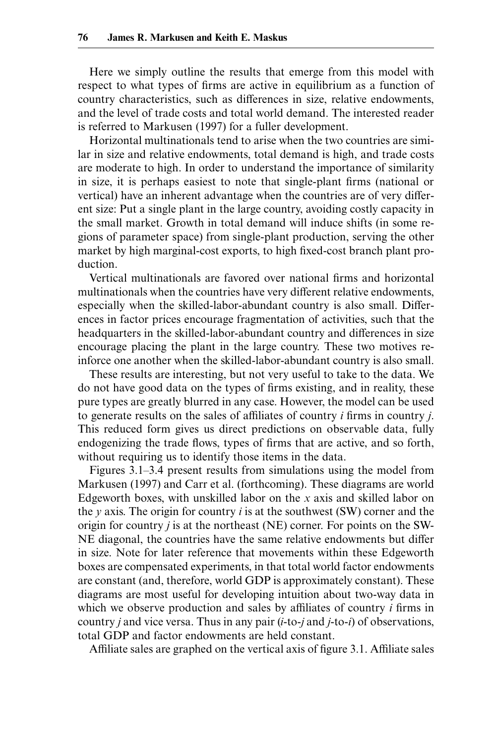Here we simply outline the results that emerge from this model with respect to what types of firms are active in equilibrium as a function of country characteristics, such as differences in size, relative endowments, and the level of trade costs and total world demand. The interested reader is referred to Markusen (1997) for a fuller development.

Horizontal multinationals tend to arise when the two countries are similar in size and relative endowments, total demand is high, and trade costs are moderate to high. In order to understand the importance of similarity in size, it is perhaps easiest to note that single-plant firms (national or vertical) have an inherent advantage when the countries are of very different size: Put a single plant in the large country, avoiding costly capacity in the small market. Growth in total demand will induce shifts (in some regions of parameter space) from single-plant production, serving the other market by high marginal-cost exports, to high fixed-cost branch plant production.

Vertical multinationals are favored over national firms and horizontal multinationals when the countries have very different relative endowments, especially when the skilled-labor-abundant country is also small. Differences in factor prices encourage fragmentation of activities, such that the headquarters in the skilled-labor-abundant country and differences in size encourage placing the plant in the large country. These two motives reinforce one another when the skilled-labor-abundant country is also small.

These results are interesting, but not very useful to take to the data. We do not have good data on the types of firms existing, and in reality, these pure types are greatly blurred in any case. However, the model can be used to generate results on the sales of affiliates of country *i* firms in country *j*. This reduced form gives us direct predictions on observable data, fully endogenizing the trade flows, types of firms that are active, and so forth, without requiring us to identify those items in the data.

Figures 3.1–3.4 present results from simulations using the model from Markusen (1997) and Carr et al. (forthcoming). These diagrams are world Edgeworth boxes, with unskilled labor on the *x* axis and skilled labor on the *y* axis. The origin for country *i* is at the southwest (SW) corner and the origin for country *j* is at the northeast (NE) corner. For points on the SW-NE diagonal, the countries have the same relative endowments but differ in size. Note for later reference that movements within these Edgeworth boxes are compensated experiments, in that total world factor endowments are constant (and, therefore, world GDP is approximately constant). These diagrams are most useful for developing intuition about two-way data in which we observe production and sales by affiliates of country *i* firms in country *j* and vice versa. Thus in any pair (*i*-to-*j* and *j*-to-*i*) of observations, total GDP and factor endowments are held constant.

Affiliate sales are graphed on the vertical axis of figure 3.1. Affiliate sales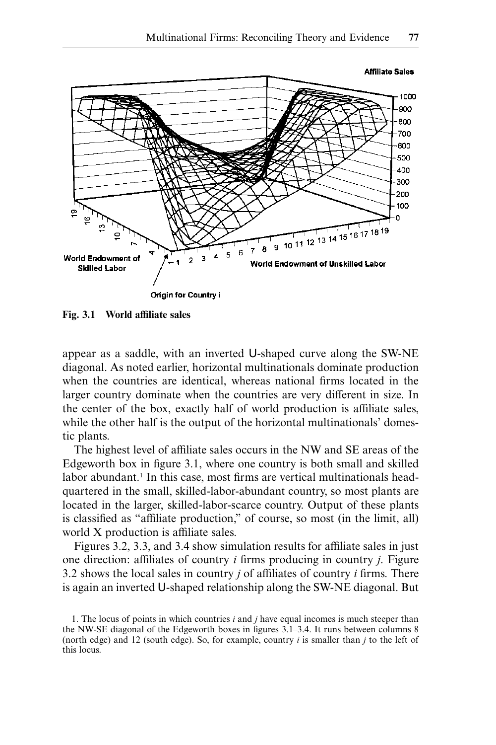

**Fig. 3.1 World affiliate sales**

appear as a saddle, with an inverted U-shaped curve along the SW-NE diagonal. As noted earlier, horizontal multinationals dominate production when the countries are identical, whereas national firms located in the larger country dominate when the countries are very different in size. In the center of the box, exactly half of world production is affiliate sales, while the other half is the output of the horizontal multinationals' domestic plants.

The highest level of affiliate sales occurs in the NW and SE areas of the Edgeworth box in figure 3.1, where one country is both small and skilled labor abundant.<sup>1</sup> In this case, most firms are vertical multinationals headquartered in the small, skilled-labor-abundant country, so most plants are located in the larger, skilled-labor-scarce country. Output of these plants is classified as "affiliate production," of course, so most (in the limit, all) world X production is affiliate sales.

Figures 3.2, 3.3, and 3.4 show simulation results for affiliate sales in just one direction: affiliates of country *i* firms producing in country *j*. Figure 3.2 shows the local sales in country *j* of affiliates of country *i* firms. There is again an inverted U-shaped relationship along the SW-NE diagonal. But

<sup>1.</sup> The locus of points in which countries *i* and *j* have equal incomes is much steeper than the NW-SE diagonal of the Edgeworth boxes in figures 3.1–3.4. It runs between columns 8 (north edge) and 12 (south edge). So, for example, country *i* is smaller than *j* to the left of this locus.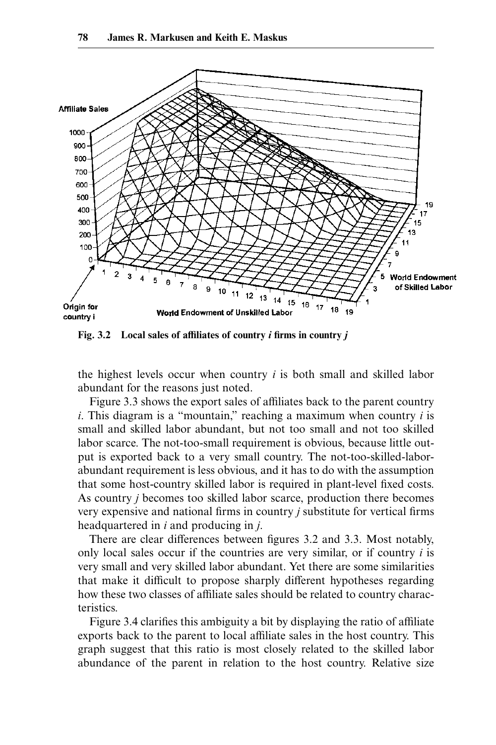

**Fig. 3.2 Local sales of affiliates of country** *i* **firms in country** *j*

the highest levels occur when country *i* is both small and skilled labor abundant for the reasons just noted.

Figure 3.3 shows the export sales of affiliates back to the parent country *i*. This diagram is a "mountain," reaching a maximum when country *i* is small and skilled labor abundant, but not too small and not too skilled labor scarce. The not-too-small requirement is obvious, because little output is exported back to a very small country. The not-too-skilled-laborabundant requirement is less obvious, and it has to do with the assumption that some host-country skilled labor is required in plant-level fixed costs. As country *j* becomes too skilled labor scarce, production there becomes very expensive and national firms in country *j* substitute for vertical firms headquartered in *i* and producing in *j*.

There are clear differences between figures 3.2 and 3.3. Most notably, only local sales occur if the countries are very similar, or if country *i* is very small and very skilled labor abundant. Yet there are some similarities that make it difficult to propose sharply different hypotheses regarding how these two classes of affiliate sales should be related to country characteristics.

Figure 3.4 clarifies this ambiguity a bit by displaying the ratio of affiliate exports back to the parent to local affiliate sales in the host country. This graph suggest that this ratio is most closely related to the skilled labor abundance of the parent in relation to the host country. Relative size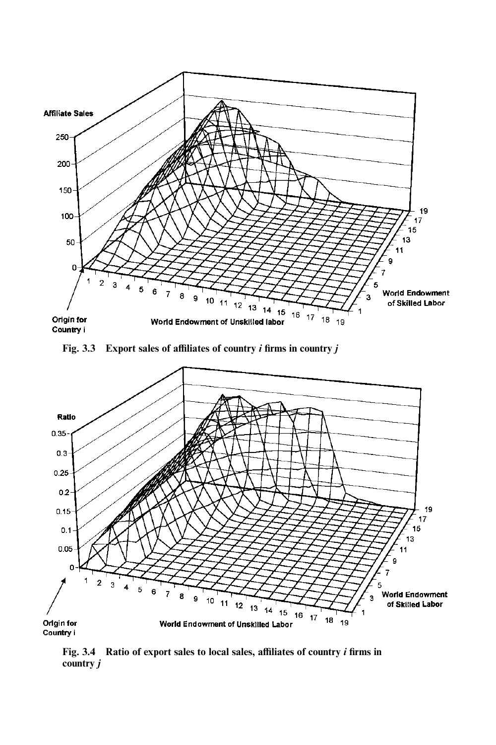

**Fig. 3.3 Export sales of affiliates of country** *i* **firms in country** *j*



**Fig. 3.4 Ratio of export sales to local sales, affiliates of country** *i* **firms in country** *j*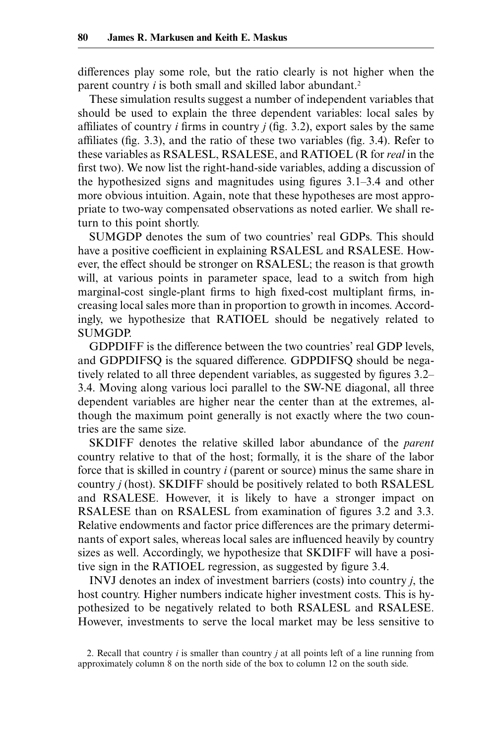differences play some role, but the ratio clearly is not higher when the parent country *i* is both small and skilled labor abundant.<sup>2</sup>

These simulation results suggest a number of independent variables that should be used to explain the three dependent variables: local sales by affiliates of country *i* firms in country *j* (fig. 3.2), export sales by the same affiliates (fig. 3.3), and the ratio of these two variables (fig. 3.4). Refer to these variables as RSALESL, RSALESE, and RATIOEL (R for *real* in the first two). We now list the right-hand-side variables, adding a discussion of the hypothesized signs and magnitudes using figures 3.1–3.4 and other more obvious intuition. Again, note that these hypotheses are most appropriate to two-way compensated observations as noted earlier. We shall return to this point shortly.

SUMGDP denotes the sum of two countries' real GDPs. This should have a positive coefficient in explaining RSALESL and RSALESE. However, the effect should be stronger on RSALESL; the reason is that growth will, at various points in parameter space, lead to a switch from high marginal-cost single-plant firms to high fixed-cost multiplant firms, increasing local sales more than in proportion to growth in incomes. Accordingly, we hypothesize that RATIOEL should be negatively related to SUMGDP.

GDPDIFF is the difference between the two countries' real GDP levels, and GDPDIFSQ is the squared difference. GDPDIFSQ should be negatively related to all three dependent variables, as suggested by figures 3.2– 3.4. Moving along various loci parallel to the SW-NE diagonal, all three dependent variables are higher near the center than at the extremes, although the maximum point generally is not exactly where the two countries are the same size.

SKDIFF denotes the relative skilled labor abundance of the *parent* country relative to that of the host; formally, it is the share of the labor force that is skilled in country *i* (parent or source) minus the same share in country *j* (host). SKDIFF should be positively related to both RSALESL and RSALESE. However, it is likely to have a stronger impact on RSALESE than on RSALESL from examination of figures 3.2 and 3.3. Relative endowments and factor price differences are the primary determinants of export sales, whereas local sales are influenced heavily by country sizes as well. Accordingly, we hypothesize that SKDIFF will have a positive sign in the RATIOEL regression, as suggested by figure 3.4.

INVJ denotes an index of investment barriers (costs) into country *j*, the host country. Higher numbers indicate higher investment costs. This is hypothesized to be negatively related to both RSALESL and RSALESE. However, investments to serve the local market may be less sensitive to

<sup>2.</sup> Recall that country *i* is smaller than country *j* at all points left of a line running from approximately column 8 on the north side of the box to column 12 on the south side.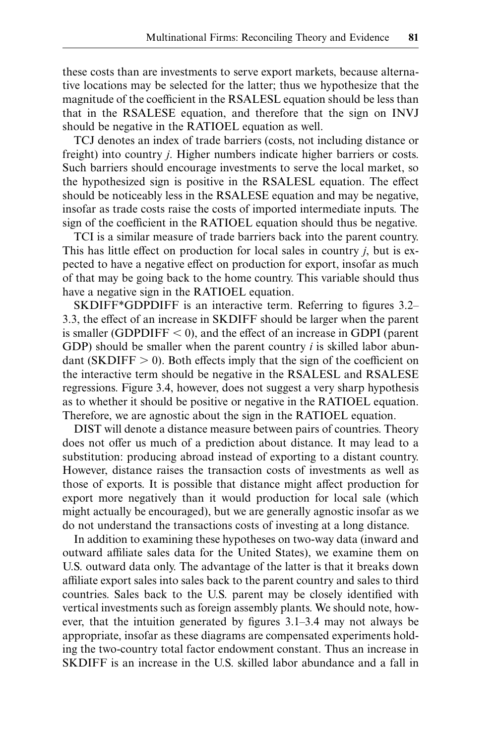these costs than are investments to serve export markets, because alternative locations may be selected for the latter; thus we hypothesize that the magnitude of the coefficient in the RSALESL equation should be less than that in the RSALESE equation, and therefore that the sign on INVJ should be negative in the RATIOEL equation as well.

TCJ denotes an index of trade barriers (costs, not including distance or freight) into country *j*. Higher numbers indicate higher barriers or costs. Such barriers should encourage investments to serve the local market, so the hypothesized sign is positive in the RSALESL equation. The effect should be noticeably less in the RSALESE equation and may be negative, insofar as trade costs raise the costs of imported intermediate inputs. The sign of the coefficient in the RATIOEL equation should thus be negative.

TCI is a similar measure of trade barriers back into the parent country. This has little effect on production for local sales in country *j*, but is expected to have a negative effect on production for export, insofar as much of that may be going back to the home country. This variable should thus have a negative sign in the RATIOEL equation.

SKDIFF\*GDPDIFF is an interactive term. Referring to figures 3.2– 3.3, the effect of an increase in SKDIFF should be larger when the parent is smaller (GDPDIFF  $<$  0), and the effect of an increase in GDPI (parent GDP) should be smaller when the parent country *i* is skilled labor abundant (SKDIFF  $> 0$ ). Both effects imply that the sign of the coefficient on the interactive term should be negative in the RSALESL and RSALESE regressions. Figure 3.4, however, does not suggest a very sharp hypothesis as to whether it should be positive or negative in the RATIOEL equation. Therefore, we are agnostic about the sign in the RATIOEL equation.

DIST will denote a distance measure between pairs of countries. Theory does not offer us much of a prediction about distance. It may lead to a substitution: producing abroad instead of exporting to a distant country. However, distance raises the transaction costs of investments as well as those of exports. It is possible that distance might affect production for export more negatively than it would production for local sale (which might actually be encouraged), but we are generally agnostic insofar as we do not understand the transactions costs of investing at a long distance.

In addition to examining these hypotheses on two-way data (inward and outward affiliate sales data for the United States), we examine them on U.S. outward data only. The advantage of the latter is that it breaks down affiliate export sales into sales back to the parent country and sales to third countries. Sales back to the U.S. parent may be closely identified with vertical investments such as foreign assembly plants. We should note, however, that the intuition generated by figures 3.1–3.4 may not always be appropriate, insofar as these diagrams are compensated experiments holding the two-country total factor endowment constant. Thus an increase in SKDIFF is an increase in the U.S. skilled labor abundance and a fall in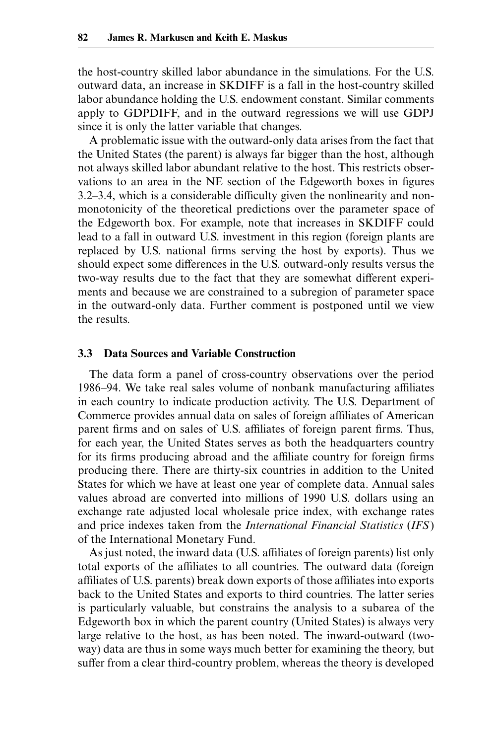the host-country skilled labor abundance in the simulations. For the U.S. outward data, an increase in SKDIFF is a fall in the host-country skilled labor abundance holding the U.S. endowment constant. Similar comments apply to GDPDIFF, and in the outward regressions we will use GDPJ since it is only the latter variable that changes.

A problematic issue with the outward-only data arises from the fact that the United States (the parent) is always far bigger than the host, although not always skilled labor abundant relative to the host. This restricts observations to an area in the NE section of the Edgeworth boxes in figures 3.2–3.4, which is a considerable difficulty given the nonlinearity and nonmonotonicity of the theoretical predictions over the parameter space of the Edgeworth box. For example, note that increases in SKDIFF could lead to a fall in outward U.S. investment in this region (foreign plants are replaced by U.S. national firms serving the host by exports). Thus we should expect some differences in the U.S. outward-only results versus the two-way results due to the fact that they are somewhat different experiments and because we are constrained to a subregion of parameter space in the outward-only data. Further comment is postponed until we view the results.

### **3.3 Data Sources and Variable Construction**

The data form a panel of cross-country observations over the period 1986–94. We take real sales volume of nonbank manufacturing affiliates in each country to indicate production activity. The U.S. Department of Commerce provides annual data on sales of foreign affiliates of American parent firms and on sales of U.S. affiliates of foreign parent firms. Thus, for each year, the United States serves as both the headquarters country for its firms producing abroad and the affiliate country for foreign firms producing there. There are thirty-six countries in addition to the United States for which we have at least one year of complete data. Annual sales values abroad are converted into millions of 1990 U.S. dollars using an exchange rate adjusted local wholesale price index, with exchange rates and price indexes taken from the *International Financial Statistics* (*IFS*) of the International Monetary Fund.

As just noted, the inward data (U.S. affiliates of foreign parents) list only total exports of the affiliates to all countries. The outward data (foreign affiliates of U.S. parents) break down exports of those affiliates into exports back to the United States and exports to third countries. The latter series is particularly valuable, but constrains the analysis to a subarea of the Edgeworth box in which the parent country (United States) is always very large relative to the host, as has been noted. The inward-outward (twoway) data are thus in some ways much better for examining the theory, but suffer from a clear third-country problem, whereas the theory is developed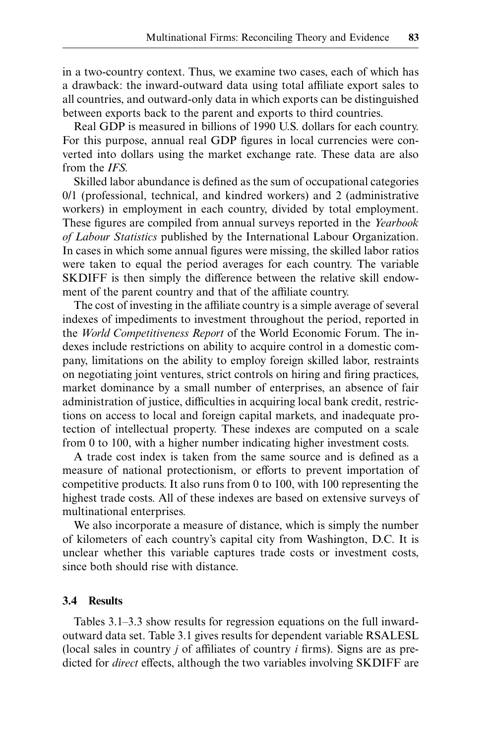in a two-country context. Thus, we examine two cases, each of which has a drawback: the inward-outward data using total affiliate export sales to all countries, and outward-only data in which exports can be distinguished between exports back to the parent and exports to third countries.

Real GDP is measured in billions of 1990 U.S. dollars for each country. For this purpose, annual real GDP figures in local currencies were converted into dollars using the market exchange rate. These data are also from the *IFS.*

Skilled labor abundance is defined as the sum of occupational categories 0/1 (professional, technical, and kindred workers) and 2 (administrative workers) in employment in each country, divided by total employment. These figures are compiled from annual surveys reported in the *Yearbook of Labour Statistics* published by the International Labour Organization. In cases in which some annual figures were missing, the skilled labor ratios were taken to equal the period averages for each country. The variable SKDIFF is then simply the difference between the relative skill endowment of the parent country and that of the affiliate country.

The cost of investing in the affiliate country is a simple average of several indexes of impediments to investment throughout the period, reported in the *World Competitiveness Report* of the World Economic Forum. The indexes include restrictions on ability to acquire control in a domestic company, limitations on the ability to employ foreign skilled labor, restraints on negotiating joint ventures, strict controls on hiring and firing practices, market dominance by a small number of enterprises, an absence of fair administration of justice, difficulties in acquiring local bank credit, restrictions on access to local and foreign capital markets, and inadequate protection of intellectual property. These indexes are computed on a scale from 0 to 100, with a higher number indicating higher investment costs.

A trade cost index is taken from the same source and is defined as a measure of national protectionism, or efforts to prevent importation of competitive products. It also runs from 0 to 100, with 100 representing the highest trade costs. All of these indexes are based on extensive surveys of multinational enterprises.

We also incorporate a measure of distance, which is simply the number of kilometers of each country's capital city from Washington, D.C. It is unclear whether this variable captures trade costs or investment costs, since both should rise with distance.

# **3.4 Results**

Tables 3.1–3.3 show results for regression equations on the full inwardoutward data set. Table 3.1 gives results for dependent variable RSALESL (local sales in country *j* of affiliates of country *i* firms). Signs are as predicted for *direct* effects, although the two variables involving SKDIFF are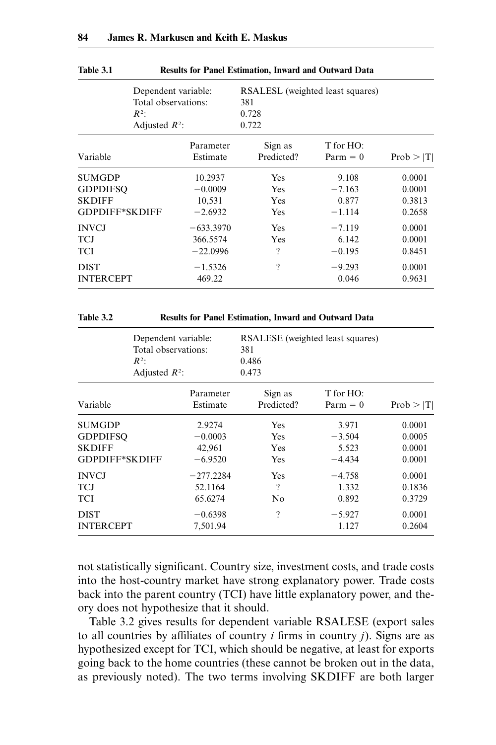| $\cdots$<br>Adjusted $R^2$ : |                       | 0.120<br>0.722        |                                 |           |
|------------------------------|-----------------------|-----------------------|---------------------------------|-----------|
| Variable                     | Parameter<br>Estimate | Sign as<br>Predicted? | T for HO:<br>$\text{Param} = 0$ | Prob >  T |
| <b>SUMGDP</b>                | 10.2937               | Yes                   | 9.108                           | 0.0001    |
| <b>GDPDIFSO</b>              | $-0.0009$             | Yes                   | $-7.163$                        | 0.0001    |
| <b>SKDIFF</b>                | 10,531                | Yes                   | 0.877                           | 0.3813    |
| GDPDIFF*SKDIFF               | $-2.6932$             | Yes                   | $-1.114$                        | 0.2658    |
| <b>INVCJ</b>                 | $-633.3970$           | Yes                   | $-7.119$                        | 0.0001    |

TCJ 366.5574 Yes 6.142 0.0001

INTERCEPT 469.22 0.046 0.9631

 $-22.0996$  ?  $-0.195$ 

 $-1.5326$  ?  $-9.293$ 

0.8451

0.0001

| Table 3.2             |             | <b>Results for Panel Estimation, Inward and Outward Data</b> |                    |           |
|-----------------------|-------------|--------------------------------------------------------------|--------------------|-----------|
| Dependent variable:   |             | RSALESE (weighted least squares)                             |                    |           |
| Total observations:   |             | 381                                                          |                    |           |
| $R^2$ :               |             | 0.486                                                        |                    |           |
| Adjusted $R^2$ :      |             | 0.473                                                        |                    |           |
|                       | Parameter   | Sign as                                                      | T for HO:          |           |
| Variable              | Estimate    | Predicted?                                                   | $\text{Param} = 0$ | Prob >  T |
| <b>SUMGDP</b>         | 2.9274      | Yes                                                          | 3.971              | 0.0001    |
| <b>GDPDIFSO</b>       | $-0.0003$   | Yes                                                          | $-3.504$           | 0.0005    |
| <b>SKDIFF</b>         | 42,961      | Yes                                                          | 5.523              | 0.0001    |
| <b>GDPDIFF*SKDIFF</b> | $-6.9520$   | Yes                                                          | $-4.434$           | 0.0001    |
| <b>INVCJ</b>          | $-277.2284$ | Yes                                                          | $-4.758$           | 0.0001    |
| <b>TCJ</b>            | 52.1164     | ?                                                            | 1.332              | 0.1836    |
| TCI                   | 65.6274     | No                                                           | 0.892              | 0.3729    |
| <b>DIST</b>           | $-0.6398$   | $\gamma$                                                     | $-5.927$           | 0.0001    |
| <b>INTERCEPT</b>      | 7,501.94    |                                                              | 1.127              | 0.2604    |

not statistically significant. Country size, investment costs, and trade costs into the host-country market have strong explanatory power. Trade costs back into the parent country (TCI) have little explanatory power, and theory does not hypothesize that it should.

Table 3.2 gives results for dependent variable RSALESE (export sales to all countries by affiliates of country *i* firms in country *j*). Signs are as hypothesized except for TCI, which should be negative, at least for exports going back to the home countries (these cannot be broken out in the data, as previously noted). The two terms involving SKDIFF are both larger

**84 James R. Markusen and Keith E. Maskus**

TCI

DIST<sub>1</sub>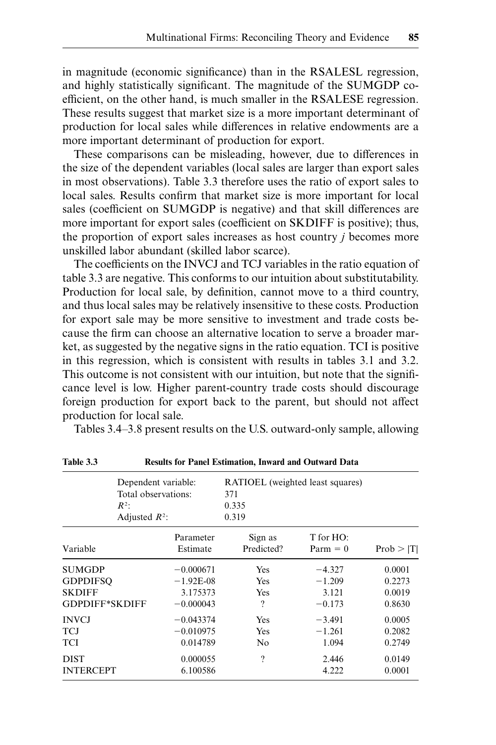in magnitude (economic significance) than in the RSALESL regression, and highly statistically significant. The magnitude of the SUMGDP coefficient, on the other hand, is much smaller in the RSALESE regression. These results suggest that market size is a more important determinant of production for local sales while differences in relative endowments are a more important determinant of production for export.

These comparisons can be misleading, however, due to differences in the size of the dependent variables (local sales are larger than export sales in most observations). Table 3.3 therefore uses the ratio of export sales to local sales. Results confirm that market size is more important for local sales (coefficient on SUMGDP is negative) and that skill differences are more important for export sales (coefficient on SKDIFF is positive); thus, the proportion of export sales increases as host country *j* becomes more unskilled labor abundant (skilled labor scarce).

The coefficients on the INVCJ and TCJ variables in the ratio equation of table 3.3 are negative. This conforms to our intuition about substitutability. Production for local sale, by definition, cannot move to a third country, and thus local sales may be relatively insensitive to these costs. Production for export sale may be more sensitive to investment and trade costs because the firm can choose an alternative location to serve a broader market, as suggested by the negative signs in the ratio equation. TCI is positive in this regression, which is consistent with results in tables 3.1 and 3.2. This outcome is not consistent with our intuition, but note that the significance level is low. Higher parent-country trade costs should discourage foreign production for export back to the parent, but should not affect production for local sale.

| Table 3.3                                                           |                                                                           |                                                       |                       |                        | <b>Results for Panel Estimation, Inward and Outward Data</b> |                                      |
|---------------------------------------------------------------------|---------------------------------------------------------------------------|-------------------------------------------------------|-----------------------|------------------------|--------------------------------------------------------------|--------------------------------------|
|                                                                     | Dependent variable:<br>Total observations:<br>$R^2$ :<br>Adjusted $R^2$ : |                                                       | 371<br>0.335<br>0.319 |                        | RATIOEL (weighted least squares)                             |                                      |
| Variable                                                            |                                                                           | Parameter<br>Estimate                                 |                       | Sign as<br>Predicted?  | T for HO:<br>$\text{Param} = 0$                              | Prob >  T                            |
| <b>SUMGDP</b><br><b>GDPDIFSO</b><br><b>SKDIFF</b><br>GDPDIFF*SKDIFF |                                                                           | $-0.000671$<br>$-1.92E-08$<br>3.175373<br>$-0.000043$ |                       | Yes<br>Yes<br>Yes<br>? | $-4.327$<br>$-1.209$<br>3.121<br>$-0.173$                    | 0.0001<br>0.2273<br>0.0019<br>0.8630 |
| <b>INVCJ</b><br>TCJ<br>TCI                                          |                                                                           | $-0.043374$<br>$-0.010975$<br>0.014789                |                       | Yes<br>Yes<br>No       | $-3.491$<br>$-1.261$<br>1.094                                | 0.0005<br>0.2082<br>0.2749           |
| <b>DIST</b><br><b>INTERCEPT</b>                                     |                                                                           | 0.000055<br>6.100586                                  |                       | ?                      | 2.446<br>4.222                                               | 0.0149<br>0.0001                     |

Tables 3.4–3.8 present results on the U.S. outward-only sample, allowing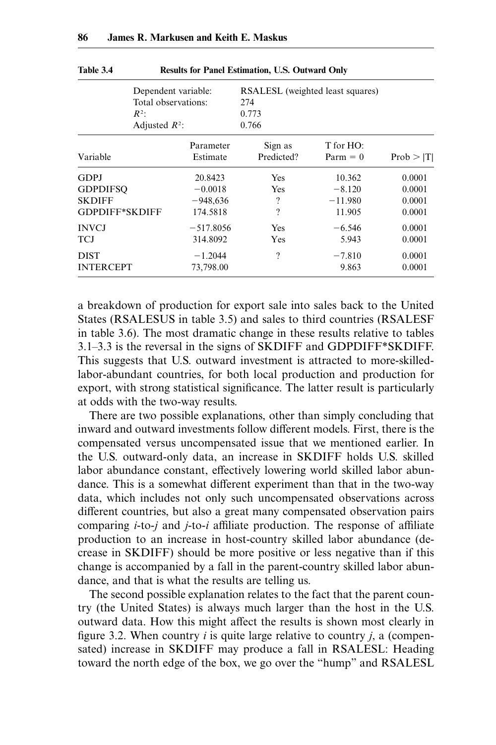| $R^2$ :<br>Adjusted $R^2$ : | Dependent variable:<br>Total observations: | RSALESL (weighted least squares)<br>274<br>0.773<br>0.766 |                                 |           |
|-----------------------------|--------------------------------------------|-----------------------------------------------------------|---------------------------------|-----------|
| Variable                    | Parameter<br>Estimate                      | Sign as<br>Predicted?                                     | T for HO:<br>$\text{Param} = 0$ | Prob >  T |
| <b>GDPJ</b>                 | 20.8423                                    | Yes                                                       | 10.362                          | 0.0001    |
| <b>GDPDIFSO</b>             | $-0.0018$                                  | Yes                                                       | $-8.120$                        | 0.0001    |
| <b>SKDIFF</b>               | $-948,636$                                 | ?                                                         | $-11.980$                       | 0.0001    |
| <b>GDPDIFF*SKDIFF</b>       | 174.5818                                   | ?                                                         | 11.905                          | 0.0001    |
| <b>INVCJ</b>                | $-517.8056$                                | Yes                                                       | $-6.546$                        | 0.0001    |
| TCJ                         | 314.8092                                   | <b>Yes</b>                                                | 5.943                           | 0.0001    |
| <b>DIST</b>                 | $-1.2044$                                  | ?                                                         | $-7.810$                        | 0.0001    |
| <b>INTERCEPT</b>            | 73,798.00                                  |                                                           | 9.863                           | 0.0001    |

**Table 3.4 Results for Panel Estimation, U.S. Outward Only**

a breakdown of production for export sale into sales back to the United States (RSALESUS in table 3.5) and sales to third countries (RSALESF in table 3.6). The most dramatic change in these results relative to tables 3.1–3.3 is the reversal in the signs of SKDIFF and GDPDIFF\*SKDIFF. This suggests that U.S. outward investment is attracted to more-skilledlabor-abundant countries, for both local production and production for export, with strong statistical significance. The latter result is particularly at odds with the two-way results.

There are two possible explanations, other than simply concluding that inward and outward investments follow different models. First, there is the compensated versus uncompensated issue that we mentioned earlier. In the U.S. outward-only data, an increase in SKDIFF holds U.S. skilled labor abundance constant, effectively lowering world skilled labor abundance. This is a somewhat different experiment than that in the two-way data, which includes not only such uncompensated observations across different countries, but also a great many compensated observation pairs comparing *i*-to-*j* and *j*-to-*i* affiliate production. The response of affiliate production to an increase in host-country skilled labor abundance (decrease in SKDIFF) should be more positive or less negative than if this change is accompanied by a fall in the parent-country skilled labor abundance, and that is what the results are telling us.

The second possible explanation relates to the fact that the parent country (the United States) is always much larger than the host in the U.S. outward data. How this might affect the results is shown most clearly in figure 3.2. When country *i* is quite large relative to country *j*, a (compensated) increase in SKDIFF may produce a fall in RSALESL: Heading toward the north edge of the box, we go over the "hump" and RSALESL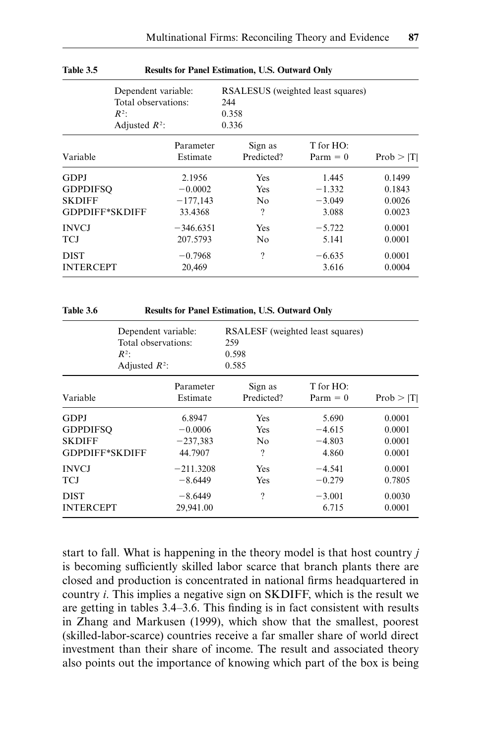| $R^2$ :               | Dependent variable:<br>Total observations:<br>Adjusted $R^2$ : | 244<br>0.358<br>0.336 | RSALESUS (weighted least squares) |           |
|-----------------------|----------------------------------------------------------------|-----------------------|-----------------------------------|-----------|
| Variable              | Parameter<br>Estimate                                          | Sign as<br>Predicted? | T for HO:<br>$\text{Param} = 0$   | Prob >  T |
| <b>GDPJ</b>           | 2.1956                                                         | <b>Yes</b>            | 1.445                             | 0.1499    |
| <b>GDPDIFSO</b>       | $-0.0002$                                                      | <b>Yes</b>            | $-1.332$                          | 0.1843    |
| <b>SKDIFF</b>         | $-177,143$                                                     | N <sub>0</sub>        | $-3.049$                          | 0.0026    |
| <b>GDPDIFF*SKDIFF</b> | 33.4368                                                        | ?                     | 3.088                             | 0.0023    |
| <b>INVCJ</b>          | $-346.6351$                                                    | Yes                   | $-5.722$                          | 0.0001    |
| TCJ                   | 207.5793                                                       | N <sub>0</sub>        | 5.141                             | 0.0001    |
| <b>DIST</b>           | $-0.7968$                                                      | ?                     | $-6.635$                          | 0.0001    |
| <b>INTERCEPT</b>      | 20,469                                                         |                       | 3.616                             | 0.0004    |

#### **Table 3.5 Results for Panel Estimation, U.S. Outward Only**

| Table 3.6 |  |  |
|-----------|--|--|
|           |  |  |

**Results for Panel Estimation, U.S. Outward Only** 

| $R^2$ :               | Dependent variable:<br>Total observations:<br>Adjusted $R^2$ : | 259<br>0.598<br>0.585 | RSALESF (weighted least squares) |           |
|-----------------------|----------------------------------------------------------------|-----------------------|----------------------------------|-----------|
| Variable              | Parameter<br>Estimate                                          | Sign as<br>Predicted? | T for HO:<br>$\text{Param} = 0$  | Prob >  T |
| <b>GDPJ</b>           | 6.8947                                                         | Yes                   | 5.690                            | 0.0001    |
| <b>GDPDIFSO</b>       | $-0.0006$                                                      | Yes                   | $-4.615$                         | 0.0001    |
| <b>SKDIFF</b>         | $-237,383$                                                     | No.                   | $-4.803$                         | 0.0001    |
| <b>GDPDIFF*SKDIFF</b> | 44.7907                                                        | ?                     | 4.860                            | 0.0001    |
| <b>INVCJ</b>          | $-211.3208$                                                    | Yes                   | $-4.541$                         | 0.0001    |
| TCJ                   | $-8.6449$                                                      | Yes                   | $-0.279$                         | 0.7805    |
| <b>DIST</b>           | $-8.6449$                                                      | ?                     | $-3.001$                         | 0.0030    |
| <b>INTERCEPT</b>      | 29,941.00                                                      |                       | 6.715                            | 0.0001    |

start to fall. What is happening in the theory model is that host country *j* is becoming sufficiently skilled labor scarce that branch plants there are closed and production is concentrated in national firms headquartered in country *i*. This implies a negative sign on SKDIFF, which is the result we are getting in tables 3.4–3.6. This finding is in fact consistent with results in Zhang and Markusen (1999), which show that the smallest, poorest (skilled-labor-scarce) countries receive a far smaller share of world direct investment than their share of income. The result and associated theory also points out the importance of knowing which part of the box is being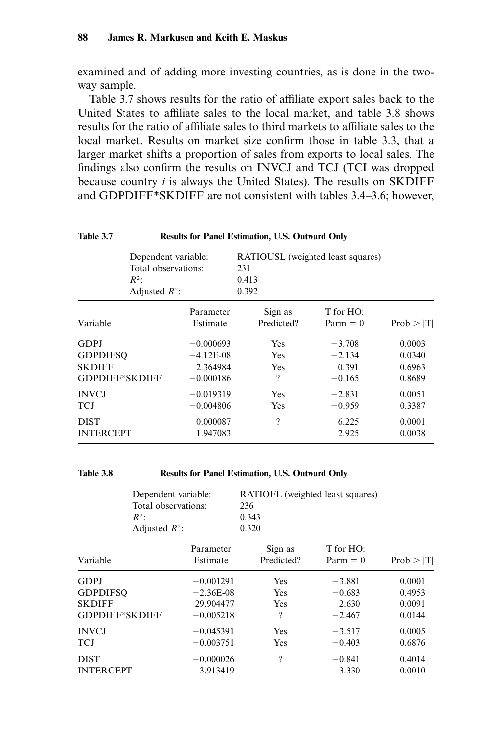examined and of adding more investing countries, as is done in the twoway sample.

Table 3.7 shows results for the ratio of affiliate export sales back to the United States to affiliate sales to the local market, and table 3.8 shows results for the ratio of affiliate sales to third markets to affiliate sales to the local market. Results on market size confirm those in table 3.3, that a larger market shifts a proportion of sales from exports to local sales. The findings also confirm the results on INVCJ and TCJ (TCI was dropped because country *i* is always the United States). The results on SKDIFF and GDPDIFF\*SKDIFF are not consistent with tables 3.4–3.6; however,

| Table 3.7        |                     | <b>Results for Panel Estimation, U.S. Outward Only</b> |       |            |                                   |           |
|------------------|---------------------|--------------------------------------------------------|-------|------------|-----------------------------------|-----------|
|                  | Dependent variable: |                                                        |       |            | RATIOUSL (weighted least squares) |           |
|                  | Total observations: |                                                        | 231   |            |                                   |           |
| $R^2$ :          |                     |                                                        | 0.413 |            |                                   |           |
|                  | Adjusted $R^2$ :    |                                                        | 0.392 |            |                                   |           |
|                  |                     | Parameter                                              |       | Sign as    | T for HO:                         |           |
| Variable         |                     | Estimate                                               |       | Predicted? | $\text{Param} = 0$                | Prob >  T |
| <b>GDPJ</b>      |                     | $-0.000693$                                            |       | Yes.       | $-3.708$                          | 0.0003    |
| <b>GDPDIFSO</b>  |                     | $-4.12E-08$                                            |       | Yes        | $-2.134$                          | 0.0340    |
| <b>SKDIFF</b>    |                     | 2.364984                                               |       | <b>Yes</b> | 0.391                             | 0.6963    |
| GDPDIFF*SKDIFF   |                     | $-0.000186$                                            |       | ?          | $-0.165$                          | 0.8689    |
| <b>INVCJ</b>     |                     | $-0.019319$                                            |       | Yes        | $-2.831$                          | 0.0051    |
| <b>TCJ</b>       |                     | $-0.004806$                                            |       | <b>Yes</b> | $-0.959$                          | 0.3387    |
| <b>DIST</b>      |                     | 0.000087                                               |       | ?          | 6.225                             | 0.0001    |
| <b>INTERCEPT</b> |                     | 1.947083                                               |       |            | 2.925                             | 0.0038    |

| <b>Table 3.8</b> |  | <b>Results for Panel Estimation, U.S. Outward Only</b> |  |  |
|------------------|--|--------------------------------------------------------|--|--|
|                  |  |                                                        |  |  |

| $R^2$ :               | Dependent variable:<br>Total observations:<br>Adjusted $R^2$ : | 236<br>0.343<br>0.320 | RATIOFL (weighted least squares) |           |
|-----------------------|----------------------------------------------------------------|-----------------------|----------------------------------|-----------|
| Variable              | Parameter<br>Estimate                                          | Sign as<br>Predicted? | T for HO:<br>$\text{Param} = 0$  | Prob >  T |
| <b>GDPJ</b>           | $-0.001291$                                                    | <b>Yes</b>            | $-3.881$                         | 0.0001    |
| <b>GDPDIFSO</b>       | $-2.36E-08$                                                    | <b>Yes</b>            | $-0.683$                         | 0.4953    |
| <b>SKDIFF</b>         | 29.904477                                                      | <b>Yes</b>            | 2.630                            | 0.0091    |
| <b>GDPDIFF*SKDIFF</b> | $-0.005218$                                                    | ?                     | $-2.467$                         | 0.0144    |
| <b>INVCJ</b>          | $-0.045391$                                                    | Yes                   | $-3.517$                         | 0.0005    |
| TCJ                   | $-0.003751$                                                    | Yes                   | $-0.403$                         | 0.6876    |
| <b>DIST</b>           | $-0.000026$                                                    | ?                     | $-0.841$                         | 0.4014    |
| <b>INTERCEPT</b>      | 3.913419                                                       |                       | 3.330                            | 0.0010    |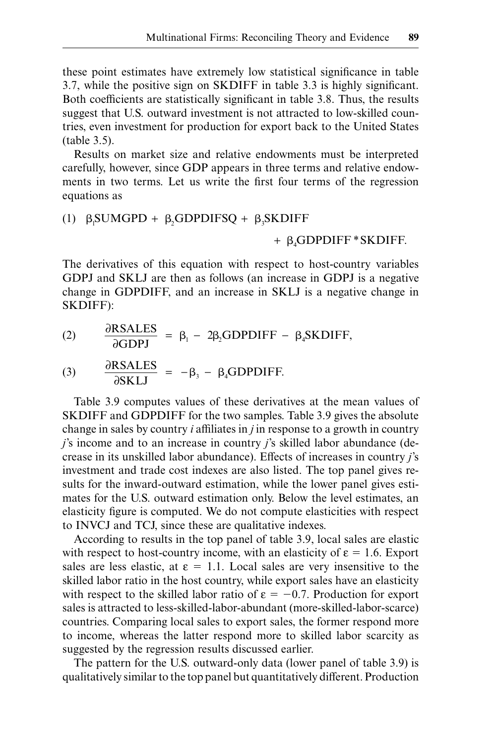these point estimates have extremely low statistical significance in table 3.7, while the positive sign on SKDIFF in table 3.3 is highly significant. Both coefficients are statistically significant in table 3.8. Thus, the results suggest that U.S. outward investment is not attracted to low-skilled countries, even investment for production for export back to the United States (table 3.5).

Results on market size and relative endowments must be interpreted carefully, however, since GDP appears in three terms and relative endowments in two terms. Let us write the first four terms of the regression equations as

(1) 
$$
\beta_1
$$
SUMGPD +  $\beta_2$ GDPDIFSQ +  $\beta_3$ SKDIFF

+ 
$$
\beta_4
$$
GDPDIFF \*SKDIFF.

The derivatives of this equation with respect to host-country variables GDPJ and SKLJ are then as follows (an increase in GDPJ is a negative change in GDPDIFF, and an increase in SKLJ is a negative change in SKDIFF):

(2)  $\frac{\partial \text{RSALES}}{\partial \text{GDPJ}} = \beta_1 - 2\beta_2 \text{GDPDIFF} - \beta_4 \text{SKDIFF},$ 

(3) 
$$
\frac{\partial \text{RSALES}}{\partial \text{SKLJ}} = -\beta_3 - \beta_4 \text{GDPDIFF.}
$$

Table 3.9 computes values of these derivatives at the mean values of SKDIFF and GDPDIFF for the two samples. Table 3.9 gives the absolute change in sales by country *i* affiliates in *j* in response to a growth in country *j*'s income and to an increase in country *j*'s skilled labor abundance (decrease in its unskilled labor abundance). Effects of increases in country *j*'s investment and trade cost indexes are also listed. The top panel gives results for the inward-outward estimation, while the lower panel gives estimates for the U.S. outward estimation only. Below the level estimates, an elasticity figure is computed. We do not compute elasticities with respect to INVCJ and TCJ, since these are qualitative indexes.

According to results in the top panel of table 3.9, local sales are elastic with respect to host-country income, with an elasticity of  $\varepsilon = 1.6$ . Export sales are less elastic, at  $\varepsilon = 1.1$ . Local sales are very insensitive to the skilled labor ratio in the host country, while export sales have an elasticity with respect to the skilled labor ratio of  $\varepsilon = -0.7$ . Production for export sales is attracted to less-skilled-labor-abundant (more-skilled-labor-scarce) countries. Comparing local sales to export sales, the former respond more to income, whereas the latter respond more to skilled labor scarcity as suggested by the regression results discussed earlier.

The pattern for the U.S. outward-only data (lower panel of table 3.9) is qualitatively similar to the top panel but quantitatively different. Production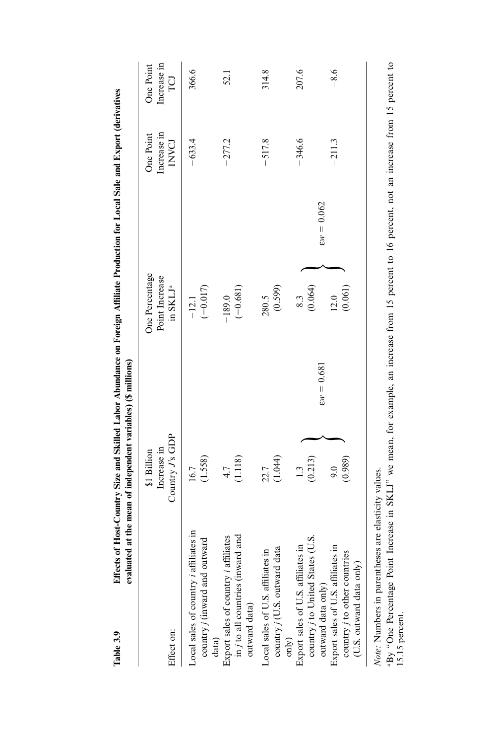| $\epsilon_W = 0.062$<br>One Percentage<br>Point Increase<br>in SKLJ <sup>a</sup><br>$(-0.017)$<br>(0.064)<br>$(-0.681)$<br>(0.599)<br>$8.\overline{3}$<br>280.5<br>$-189.0$<br>$-12.1$<br>$\epsilon_W = 0.681$<br>Country J's GDP<br>Increase in<br>\$1 Billion<br>(1.558)<br>(0.213)<br>(1.118)<br>(1.044)<br>$\frac{1}{4}$<br>22.7<br>1.3<br>16.7<br><i>i</i> affiliates in<br>inward and<br>Export sales of country i affiliates<br>country j to United States (U.S.<br>country j (inward and outward<br>Export sales of U.S. affiliates in<br>country j (U.S. outward data<br>Local sales of U.S. affiliates in<br>Local sales of country<br>outward data only)<br>in j to all countries (<br>outward data)<br>Effect on:<br>only)<br>data) | ffects of Host-Country Size and Skilled Labor Abundance on Foreign Affiliate Production for Local Sale and Export (derivatives<br>evaluated at the mean of independent variables) (\$ millions)<br>Table 3.9 |  |  |                                          |                                       |
|-------------------------------------------------------------------------------------------------------------------------------------------------------------------------------------------------------------------------------------------------------------------------------------------------------------------------------------------------------------------------------------------------------------------------------------------------------------------------------------------------------------------------------------------------------------------------------------------------------------------------------------------------------------------------------------------------------------------------------------------------|--------------------------------------------------------------------------------------------------------------------------------------------------------------------------------------------------------------|--|--|------------------------------------------|---------------------------------------|
|                                                                                                                                                                                                                                                                                                                                                                                                                                                                                                                                                                                                                                                                                                                                                 |                                                                                                                                                                                                              |  |  | Increase in<br>One Point<br><b>INVCJ</b> | One Point<br>Increase in<br><b>DL</b> |
|                                                                                                                                                                                                                                                                                                                                                                                                                                                                                                                                                                                                                                                                                                                                                 |                                                                                                                                                                                                              |  |  | $-633.4$                                 | 366.6                                 |
|                                                                                                                                                                                                                                                                                                                                                                                                                                                                                                                                                                                                                                                                                                                                                 |                                                                                                                                                                                                              |  |  | $-277.2$                                 | 52.1                                  |
|                                                                                                                                                                                                                                                                                                                                                                                                                                                                                                                                                                                                                                                                                                                                                 |                                                                                                                                                                                                              |  |  | $-517.8$                                 | 314.8                                 |
|                                                                                                                                                                                                                                                                                                                                                                                                                                                                                                                                                                                                                                                                                                                                                 |                                                                                                                                                                                                              |  |  | $-346.6$                                 | 207.6                                 |
| (0.061)<br>12.0<br>(0.989)<br>$^{0.6}$<br>Export sales of U.S. affiliates in<br>country <i>j</i> to other countries<br>(U.S. outward data only)                                                                                                                                                                                                                                                                                                                                                                                                                                                                                                                                                                                                 |                                                                                                                                                                                                              |  |  | $-211.3$                                 | $-8.6$                                |

Note: Numbers in parentheses are elasticity values. *Note:* Numbers in parentheses are elasticity values.

<sup>a</sup>By "One Percentage Point Increase in SKLJ" we mean, for example, an increase from 15 percent to 16 percent, not an increase from 15 percent to 15 J percent. aBy "One Percentage Point Increase in SKLJ" we mean, for example, an increase from 15 percent to 16 percent, not an increase from 15 percent to 15.15 percent.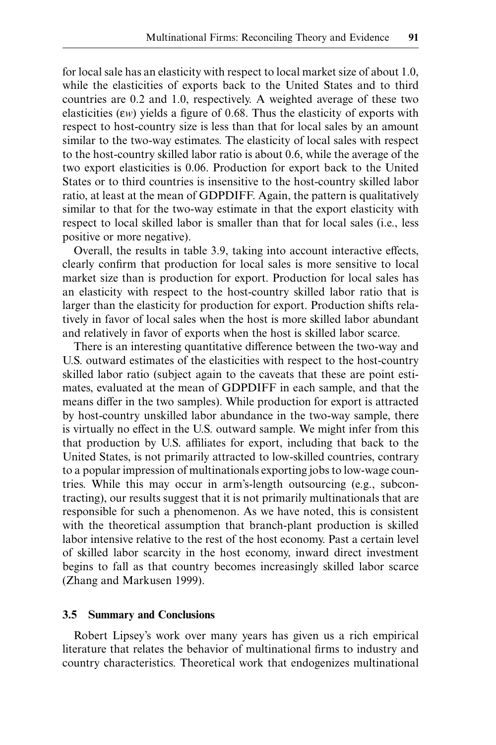for local sale has an elasticity with respect to local market size of about 1.0, while the elasticities of exports back to the United States and to third countries are 0.2 and 1.0, respectively. A weighted average of these two elasticities (ε*w*) yields a figure of 0.68. Thus the elasticity of exports with respect to host-country size is less than that for local sales by an amount similar to the two-way estimates. The elasticity of local sales with respect to the host-country skilled labor ratio is about 0.6, while the average of the two export elasticities is 0.06. Production for export back to the United States or to third countries is insensitive to the host-country skilled labor ratio, at least at the mean of GDPDIFF. Again, the pattern is qualitatively similar to that for the two-way estimate in that the export elasticity with respect to local skilled labor is smaller than that for local sales (i.e., less positive or more negative).

Overall, the results in table 3.9, taking into account interactive effects, clearly confirm that production for local sales is more sensitive to local market size than is production for export. Production for local sales has an elasticity with respect to the host-country skilled labor ratio that is larger than the elasticity for production for export. Production shifts relatively in favor of local sales when the host is more skilled labor abundant and relatively in favor of exports when the host is skilled labor scarce.

There is an interesting quantitative difference between the two-way and U.S. outward estimates of the elasticities with respect to the host-country skilled labor ratio (subject again to the caveats that these are point estimates, evaluated at the mean of GDPDIFF in each sample, and that the means differ in the two samples). While production for export is attracted by host-country unskilled labor abundance in the two-way sample, there is virtually no effect in the U.S. outward sample. We might infer from this that production by U.S. affiliates for export, including that back to the United States, is not primarily attracted to low-skilled countries, contrary to a popular impression of multinationals exporting jobs to low-wage countries. While this may occur in arm's-length outsourcing (e.g., subcontracting), our results suggest that it is not primarily multinationals that are responsible for such a phenomenon. As we have noted, this is consistent with the theoretical assumption that branch-plant production is skilled labor intensive relative to the rest of the host economy. Past a certain level of skilled labor scarcity in the host economy, inward direct investment begins to fall as that country becomes increasingly skilled labor scarce (Zhang and Markusen 1999).

# **3.5 Summary and Conclusions**

Robert Lipsey's work over many years has given us a rich empirical literature that relates the behavior of multinational firms to industry and country characteristics. Theoretical work that endogenizes multinational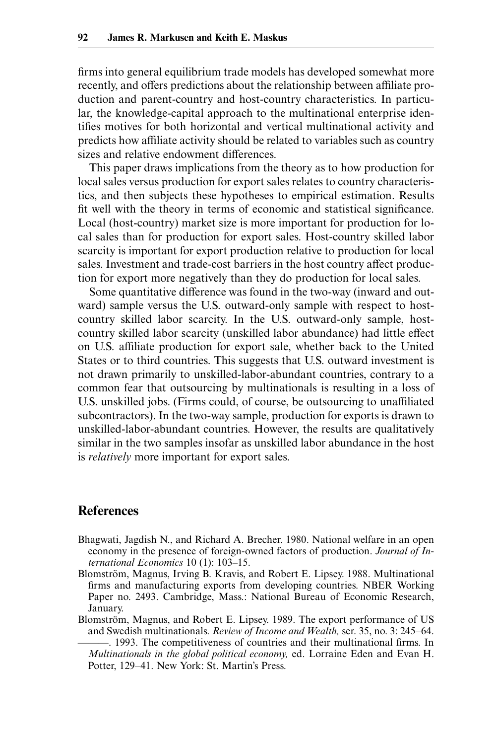firms into general equilibrium trade models has developed somewhat more recently, and offers predictions about the relationship between affiliate production and parent-country and host-country characteristics. In particular, the knowledge-capital approach to the multinational enterprise identifies motives for both horizontal and vertical multinational activity and predicts how affiliate activity should be related to variables such as country sizes and relative endowment differences.

This paper draws implications from the theory as to how production for local sales versus production for export sales relates to country characteristics, and then subjects these hypotheses to empirical estimation. Results fit well with the theory in terms of economic and statistical significance. Local (host-country) market size is more important for production for local sales than for production for export sales. Host-country skilled labor scarcity is important for export production relative to production for local sales. Investment and trade-cost barriers in the host country affect production for export more negatively than they do production for local sales.

Some quantitative difference was found in the two-way (inward and outward) sample versus the U.S. outward-only sample with respect to hostcountry skilled labor scarcity. In the U.S. outward-only sample, hostcountry skilled labor scarcity (unskilled labor abundance) had little effect on U.S. affiliate production for export sale, whether back to the United States or to third countries. This suggests that U.S. outward investment is not drawn primarily to unskilled-labor-abundant countries, contrary to a common fear that outsourcing by multinationals is resulting in a loss of U.S. unskilled jobs. (Firms could, of course, be outsourcing to unaffiliated subcontractors). In the two-way sample, production for exports is drawn to unskilled-labor-abundant countries. However, the results are qualitatively similar in the two samples insofar as unskilled labor abundance in the host is *relatively* more important for export sales.

# **References**

- Bhagwati, Jagdish N., and Richard A. Brecher. 1980. National welfare in an open economy in the presence of foreign-owned factors of production. *Journal of International Economics* 10 (1): 103–15.
- Blomström, Magnus, Irving B. Kravis, and Robert E. Lipsey. 1988. Multinational firms and manufacturing exports from developing countries. NBER Working Paper no. 2493. Cambridge, Mass.: National Bureau of Economic Research, January.
- Blomström, Magnus, and Robert E. Lipsey. 1989. The export performance of US and Swedish multinationals. *Review of Income and Wealth,* ser. 35, no. 3: 245–64.

———. 1993. The competitiveness of countries and their multinational firms. In *Multinationals in the global political economy,* ed. Lorraine Eden and Evan H. Potter, 129–41. New York: St. Martin's Press.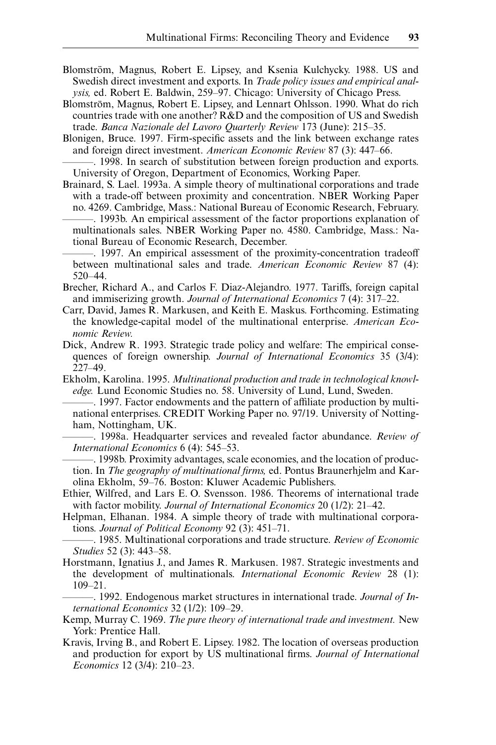- Blomström, Magnus, Robert E. Lipsey, and Ksenia Kulchycky. 1988. US and Swedish direct investment and exports. In *Trade policy issues and empirical analysis,* ed. Robert E. Baldwin, 259–97. Chicago: University of Chicago Press.
- Blomström, Magnus, Robert E. Lipsey, and Lennart Ohlsson. 1990. What do rich countries trade with one another? R&D and the composition of US and Swedish trade. *Banca Nazionale del Lavoro Quarterly Review* 173 (June): 215–35.
- Blonigen, Bruce. 1997. Firm-specific assets and the link between exchange rates and foreign direct investment. *American Economic Review* 87 (3): 447–66.
- -. 1998. In search of substitution between foreign production and exports. University of Oregon, Department of Economics, Working Paper.
- Brainard, S. Lael. 1993a. A simple theory of multinational corporations and trade with a trade-off between proximity and concentration. NBER Working Paper no. 4269. Cambridge, Mass.: National Bureau of Economic Research, February.
- ———. 1993b. An empirical assessment of the factor proportions explanation of multinationals sales. NBER Working Paper no. 4580. Cambridge, Mass.: National Bureau of Economic Research, December.

-. 1997. An empirical assessment of the proximity-concentration tradeoff between multinational sales and trade. *American Economic Review* 87 (4): 520–44.

- Brecher, Richard A., and Carlos F. Diaz-Alejandro. 1977. Tariffs, foreign capital and immiserizing growth. *Journal of International Economics* 7 (4): 317–22.
- Carr, David, James R. Markusen, and Keith E. Maskus. Forthcoming. Estimating the knowledge-capital model of the multinational enterprise. *American Economic Review.*
- Dick, Andrew R. 1993. Strategic trade policy and welfare: The empirical consequences of foreign ownership. *Journal of International Economics* 35 (3/4): 227–49.
- Ekholm, Karolina. 1995. *Multinational production and trade in technological knowledge.* Lund Economic Studies no. 58. University of Lund, Lund, Sweden.
	- -. 1997. Factor endowments and the pattern of affiliate production by multinational enterprises. CREDIT Working Paper no. 97/19. University of Nottingham, Nottingham, UK.
	- ———. 1998a. Headquarter services and revealed factor abundance. *Review of International Economics* 6 (4): 545–53.
- ———. 1998b. Proximity advantages, scale economies, and the location of production. In *The geography of multinational firms,* ed. Pontus Braunerhjelm and Karolina Ekholm, 59–76. Boston: Kluwer Academic Publishers.
- Ethier, Wilfred, and Lars E. O. Svensson. 1986. Theorems of international trade with factor mobility. *Journal of International Economics* 20 (1/2): 21–42.
- Helpman, Elhanan. 1984. A simple theory of trade with multinational corporations. *Journal of Political Economy* 92 (3): 451–71.
- ———. 1985. Multinational corporations and trade structure. *Review of Economic Studies* 52 (3): 443–58.
- Horstmann, Ignatius J., and James R. Markusen. 1987. Strategic investments and the development of multinationals. *International Economic Review* 28 (1): 109–21.
- -. 1992. Endogenous market structures in international trade. *Journal of International Economics* 32 (1/2): 109–29.
- Kemp, Murray C. 1969. *The pure theory of international trade and investment.* New York: Prentice Hall.
- Kravis, Irving B., and Robert E. Lipsey. 1982. The location of overseas production and production for export by US multinational firms. *Journal of International Economics* 12 (3/4): 210–23.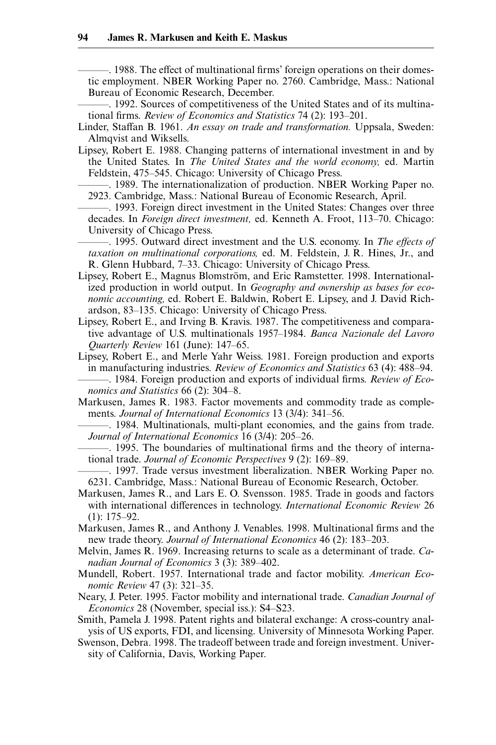———. 1988. The effect of multinational firms' foreign operations on their domestic employment. NBER Working Paper no. 2760. Cambridge, Mass.: National Bureau of Economic Research, December.

———. 1992. Sources of competitiveness of the United States and of its multinational firms. *Review of Economics and Statistics* 74 (2): 193–201.

- Linder, Staffan B. 1961. *An essay on trade and transformation.* Uppsala, Sweden: Almqvist and Wiksells.
- Lipsey, Robert E. 1988. Changing patterns of international investment in and by the United States. In *The United States and the world economy,* ed. Martin Feldstein, 475–545. Chicago: University of Chicago Press.
	- -. 1989. The internationalization of production. NBER Working Paper no. 2923. Cambridge, Mass.: National Bureau of Economic Research, April.

-. 1993. Foreign direct investment in the United States: Changes over three decades. In *Foreign direct investment,* ed. Kenneth A. Froot, 113–70. Chicago: University of Chicago Press.

———. 1995. Outward direct investment and the U.S. economy. In *The effects of taxation on multinational corporations,* ed. M. Feldstein, J. R. Hines, Jr., and R. Glenn Hubbard, 7–33. Chicago: University of Chicago Press.

- Lipsey, Robert E., Magnus Blomström, and Eric Ramstetter. 1998. Internationalized production in world output. In *Geography and ownership as bases for economic accounting,* ed. Robert E. Baldwin, Robert E. Lipsey, and J. David Richardson, 83–135. Chicago: University of Chicago Press.
- Lipsey, Robert E., and Irving B. Kravis. 1987. The competitiveness and comparative advantage of U.S. multinationals 1957–1984. *Banca Nazionale del Lavoro Quarterly Review* 161 (June): 147–65.
- Lipsey, Robert E., and Merle Yahr Weiss. 1981. Foreign production and exports in manufacturing industries. *Review of Economics and Statistics* 63 (4): 488–94.
- ———. 1984. Foreign production and exports of individual firms. *Review of Economics and Statistics* 66 (2): 304–8.
- Markusen, James R. 1983. Factor movements and commodity trade as complements. *Journal of International Economics* 13 (3/4): 341–56.
- -. 1984. Multinationals, multi-plant economies, and the gains from trade. *Journal of International Economics* 16 (3/4): 205–26.
- ———. 1995. The boundaries of multinational firms and the theory of international trade. *Journal of Economic Perspectives* 9 (2): 169–89.
- -. 1997. Trade versus investment liberalization. NBER Working Paper no. 6231. Cambridge, Mass.: National Bureau of Economic Research, October.
- Markusen, James R., and Lars E. O. Svensson. 1985. Trade in goods and factors with international differences in technology. *International Economic Review* 26 (1): 175–92.
- Markusen, James R., and Anthony J. Venables. 1998. Multinational firms and the new trade theory. *Journal of International Economics* 46 (2): 183–203.
- Melvin, James R. 1969. Increasing returns to scale as a determinant of trade. *Canadian Journal of Economics* 3 (3): 389–402.
- Mundell, Robert. 1957. International trade and factor mobility. *American Economic Review* 47 (3): 321–35.
- Neary, J. Peter. 1995. Factor mobility and international trade. *Canadian Journal of Economics* 28 (November, special iss.): S4–S23.
- Smith, Pamela J. 1998. Patent rights and bilateral exchange: A cross-country analysis of US exports, FDI, and licensing. University of Minnesota Working Paper.
- Swenson, Debra. 1998. The tradeoff between trade and foreign investment. University of California, Davis, Working Paper.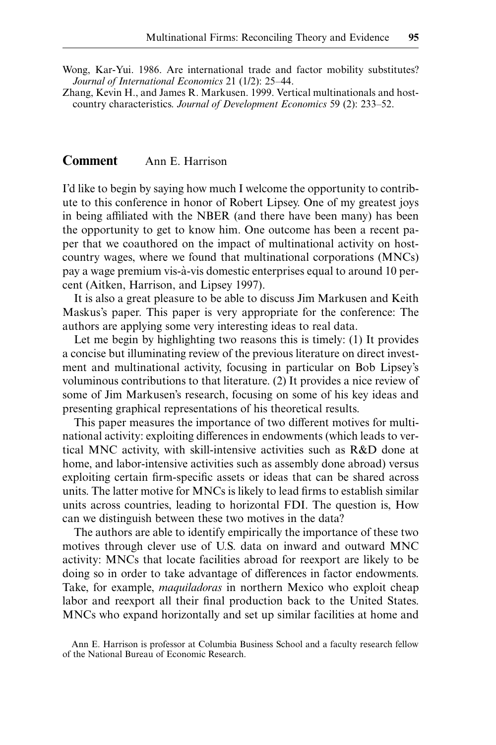- Wong, Kar-Yui. 1986. Are international trade and factor mobility substitutes? *Journal of International Economics* 21 (1/2): 25–44.
- Zhang, Kevin H., and James R. Markusen. 1999. Vertical multinationals and hostcountry characteristics. *Journal of Development Economics* 59 (2): 233–52.

# **Comment** Ann E. Harrison

I'd like to begin by saying how much I welcome the opportunity to contribute to this conference in honor of Robert Lipsey. One of my greatest joys in being affiliated with the NBER (and there have been many) has been the opportunity to get to know him. One outcome has been a recent paper that we coauthored on the impact of multinational activity on hostcountry wages, where we found that multinational corporations (MNCs) pay a wage premium vis-a`-vis domestic enterprises equal to around 10 percent (Aitken, Harrison, and Lipsey 1997).

It is also a great pleasure to be able to discuss Jim Markusen and Keith Maskus's paper. This paper is very appropriate for the conference: The authors are applying some very interesting ideas to real data.

Let me begin by highlighting two reasons this is timely: (1) It provides a concise but illuminating review of the previous literature on direct investment and multinational activity, focusing in particular on Bob Lipsey's voluminous contributions to that literature. (2) It provides a nice review of some of Jim Markusen's research, focusing on some of his key ideas and presenting graphical representations of his theoretical results.

This paper measures the importance of two different motives for multinational activity: exploiting differences in endowments (which leads to vertical MNC activity, with skill-intensive activities such as R&D done at home, and labor-intensive activities such as assembly done abroad) versus exploiting certain firm-specific assets or ideas that can be shared across units. The latter motive for MNCs is likely to lead firms to establish similar units across countries, leading to horizontal FDI. The question is, How can we distinguish between these two motives in the data?

The authors are able to identify empirically the importance of these two motives through clever use of U.S. data on inward and outward MNC activity: MNCs that locate facilities abroad for reexport are likely to be doing so in order to take advantage of differences in factor endowments. Take, for example, *maquiladoras* in northern Mexico who exploit cheap labor and reexport all their final production back to the United States. MNCs who expand horizontally and set up similar facilities at home and

Ann E. Harrison is professor at Columbia Business School and a faculty research fellow of the National Bureau of Economic Research.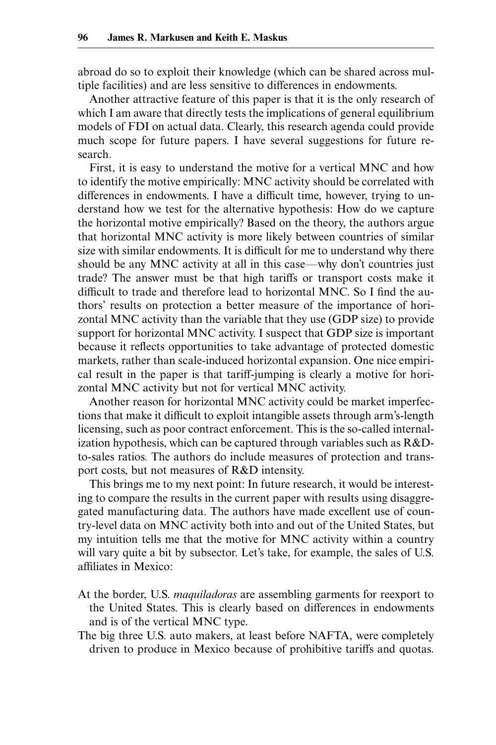abroad do so to exploit their knowledge (which can be shared across multiple facilities) and are less sensitive to differences in endowments.

Another attractive feature of this paper is that it is the only research of which I am aware that directly tests the implications of general equilibrium models of FDI on actual data. Clearly, this research agenda could provide much scope for future papers. I have several suggestions for future research.

First, it is easy to understand the motive for a vertical MNC and how to identify the motive empirically: MNC activity should be correlated with differences in endowments. I have a difficult time, however, trying to understand how we test for the alternative hypothesis: How do we capture the horizontal motive empirically? Based on the theory, the authors argue that horizontal MNC activity is more likely between countries of similar size with similar endowments. It is difficult for me to understand why there should be any MNC activity at all in this case—why don't countries just trade? The answer must be that high tariffs or transport costs make it difficult to trade and therefore lead to horizontal MNC. So I find the authors' results on protection a better measure of the importance of horizontal MNC activity than the variable that they use (GDP size) to provide support for horizontal MNC activity. I suspect that GDP size is important because it reflects opportunities to take advantage of protected domestic markets, rather than scale-induced horizontal expansion. One nice empirical result in the paper is that tariff-jumping is clearly a motive for horizontal MNC activity but not for vertical MNC activity.

Another reason for horizontal MNC activity could be market imperfections that make it difficult to exploit intangible assets through arm's-length licensing, such as poor contract enforcement. This is the so-called internalization hypothesis, which can be captured through variables such as R&Dto-sales ratios. The authors do include measures of protection and transport costs, but not measures of R&D intensity.

This brings me to my next point: In future research, it would be interesting to compare the results in the current paper with results using disaggregated manufacturing data. The authors have made excellent use of country-level data on MNC activity both into and out of the United States, but my intuition tells me that the motive for MNC activity within a country will vary quite a bit by subsector. Let's take, for example, the sales of U.S. affiliates in Mexico:

- At the border, U.S. *maquiladoras* are assembling garments for reexport to the United States. This is clearly based on differences in endowments and is of the vertical MNC type.
- The big three U.S. auto makers, at least before NAFTA, were completely driven to produce in Mexico because of prohibitive tariffs and quotas.